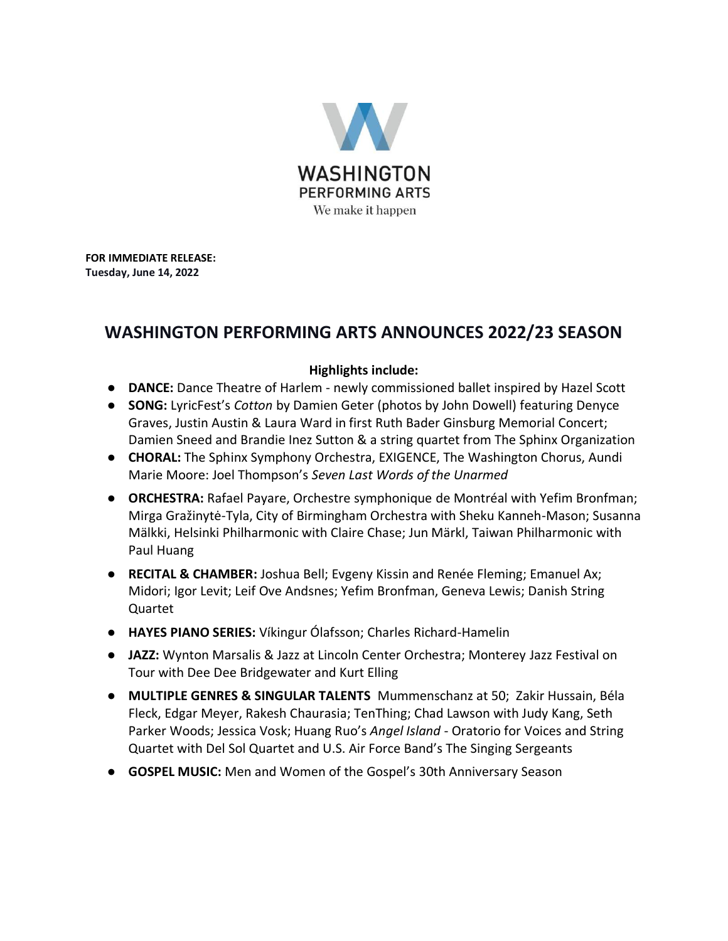

**FOR IMMEDIATE RELEASE: Tuesday, June 14, 2022** 

# **WASHINGTON PERFORMING ARTS ANNOUNCES 2022/23 SEASON**

### **Highlights include:**

- **DANCE:** Dance Theatre of Harlem newly commissioned ballet inspired by Hazel Scott
- **SONG:** LyricFest's *Cotton* by Damien Geter (photos by John Dowell) featuring Denyce Graves, Justin Austin & Laura Ward in first Ruth Bader Ginsburg Memorial Concert; Damien Sneed and Brandie Inez Sutton & a string quartet from The Sphinx Organization
- **CHORAL:** The Sphinx Symphony Orchestra, EXIGENCE, The Washington Chorus, Aundi Marie Moore: Joel Thompson's *Seven Last Words of the Unarmed*
- **ORCHESTRA:** Rafael Payare, Orchestre symphonique de Montréal with Yefim Bronfman; Mirga Gražinytė-Tyla, City of Birmingham Orchestra with Sheku Kanneh-Mason; Susanna Mälkki, Helsinki Philharmonic with Claire Chase; Jun Märkl, Taiwan Philharmonic with Paul Huang
- **RECITAL & CHAMBER:** Joshua Bell; Evgeny Kissin and Renée Fleming; Emanuel Ax; Midori; Igor Levit; Leif Ove Andsnes; Yefim Bronfman, Geneva Lewis; Danish String Quartet
- **HAYES PIANO SERIES:** Víkingur Ólafsson; Charles Richard-Hamelin
- **JAZZ:** Wynton Marsalis & Jazz at Lincoln Center Orchestra; Monterey Jazz Festival on Tour with Dee Dee Bridgewater and Kurt Elling
- **MULTIPLE GENRES & SINGULAR TALENTS** Mummenschanz at 50; Zakir Hussain, Béla Fleck, Edgar Meyer, Rakesh Chaurasia; TenThing; Chad Lawson with Judy Kang, Seth Parker Woods; Jessica Vosk; Huang Ruo's *Angel Island* - Oratorio for Voices and String Quartet with Del Sol Quartet and U.S. Air Force Band's The Singing Sergeants
- **GOSPEL MUSIC:** Men and Women of the Gospel's 30th Anniversary Season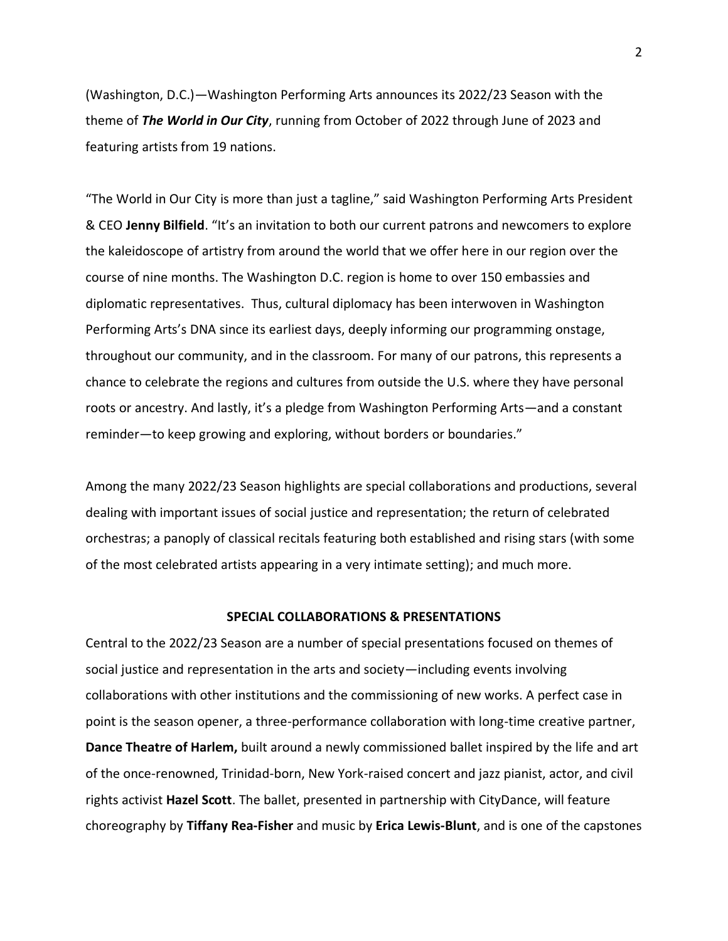(Washington, D.C.)—Washington Performing Arts announces its 2022/23 Season with the theme of *The World in Our City*, running from October of 2022 through June of 2023 and featuring artists from 19 nations.

"The World in Our City is more than just a tagline," said Washington Performing Arts President & CEO **Jenny Bilfield**. "It's an invitation to both our current patrons and newcomers to explore the kaleidoscope of artistry from around the world that we offer here in our region over the course of nine months. The Washington D.C. region is home to over 150 embassies and diplomatic representatives. Thus, cultural diplomacy has been interwoven in Washington Performing Arts's DNA since its earliest days, deeply informing our programming onstage, throughout our community, and in the classroom. For many of our patrons, this represents a chance to celebrate the regions and cultures from outside the U.S. where they have personal roots or ancestry. And lastly, it's a pledge from Washington Performing Arts—and a constant reminder—to keep growing and exploring, without borders or boundaries."

Among the many 2022/23 Season highlights are special collaborations and productions, several dealing with important issues of social justice and representation; the return of celebrated orchestras; a panoply of classical recitals featuring both established and rising stars (with some of the most celebrated artists appearing in a very intimate setting); and much more.

#### **SPECIAL COLLABORATIONS & PRESENTATIONS**

Central to the 2022/23 Season are a number of special presentations focused on themes of social justice and representation in the arts and society—including events involving collaborations with other institutions and the commissioning of new works. A perfect case in point is the season opener, a three-performance collaboration with long-time creative partner, **Dance Theatre of Harlem,** built around a newly commissioned ballet inspired by the life and art of the once-renowned, Trinidad-born, New York-raised concert and jazz pianist, actor, and civil rights activist **Hazel Scott**. The ballet, presented in partnership with CityDance, will feature choreography by **Tiffany Rea-Fisher** and music by **Erica Lewis-Blunt**, and is one of the capstones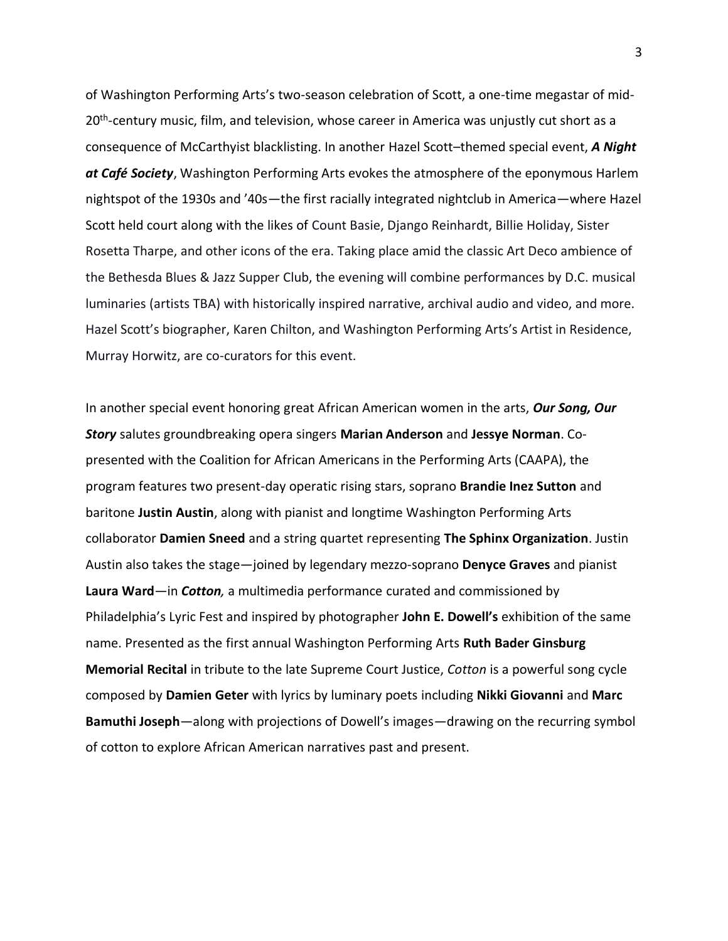of Washington Performing Arts's two-season celebration of Scott, a one-time megastar of mid-20<sup>th</sup>-century music, film, and television, whose career in America was unjustly cut short as a consequence of McCarthyist blacklisting. In another Hazel Scott–themed special event, *A Night at Café Society*, Washington Performing Arts evokes the atmosphere of the eponymous Harlem nightspot of the 1930s and '40s—the first racially integrated nightclub in America—where Hazel Scott held court along with the likes of Count Basie, Django Reinhardt, Billie Holiday, Sister Rosetta Tharpe, and other icons of the era. Taking place amid the classic Art Deco ambience of the Bethesda Blues & Jazz Supper Club, the evening will combine performances by D.C. musical luminaries (artists TBA) with historically inspired narrative, archival audio and video, and more. Hazel Scott's biographer, Karen Chilton, and Washington Performing Arts's Artist in Residence, Murray Horwitz, are co-curators for this event.

In another special event honoring great African American women in the arts, *Our Song, Our Story* salutes groundbreaking opera singers **Marian Anderson** and **Jessye Norman**. Copresented with the Coalition for African Americans in the Performing Arts (CAAPA), the program features two present-day operatic rising stars, soprano **Brandie Inez Sutton** and baritone **Justin Austin**, along with pianist and longtime Washington Performing Arts collaborator **Damien Sneed** and a string quartet representing **The Sphinx Organization**. Justin Austin also takes the stage—joined by legendary mezzo-soprano **Denyce Graves** and pianist **Laura Ward**—in *Cotton,* a multimedia performance curated and commissioned by Philadelphia's Lyric Fest and inspired by photographer **John E. Dowell's** exhibition of the same name. Presented as the first annual Washington Performing Arts **Ruth Bader Ginsburg Memorial Recital** in tribute to the late Supreme Court Justice, *Cotton* is a powerful song cycle composed by **Damien Geter** with lyrics by luminary poets including **Nikki Giovanni** and **Marc Bamuthi Joseph**—along with projections of Dowell's images—drawing on the recurring symbol of cotton to explore African American narratives past and present.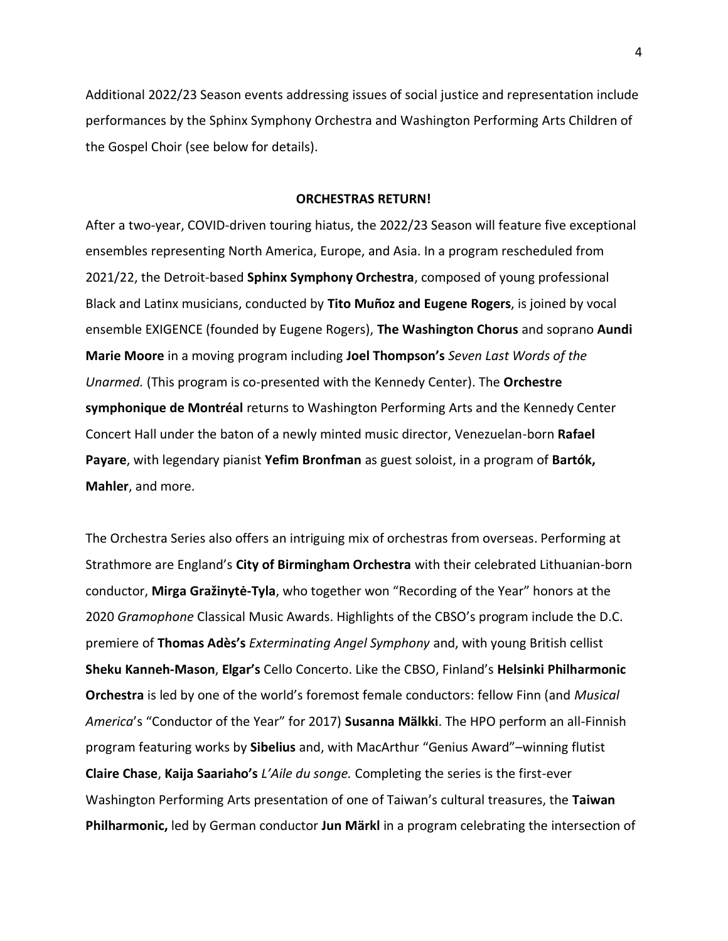Additional 2022/23 Season events addressing issues of social justice and representation include performances by the Sphinx Symphony Orchestra and Washington Performing Arts Children of the Gospel Choir (see below for details).

#### **ORCHESTRAS RETURN!**

After a two-year, COVID-driven touring hiatus, the 2022/23 Season will feature five exceptional ensembles representing North America, Europe, and Asia. In a program rescheduled from 2021/22, the Detroit-based **Sphinx Symphony Orchestra**, composed of young professional Black and Latinx musicians, conducted by **Tito Muñoz and Eugene Rogers**, is joined by vocal ensemble EXIGENCE (founded by Eugene Rogers), **The Washington Chorus** and soprano **Aundi Marie Moore** in a moving program including **Joel Thompson's** *Seven Last Words of the Unarmed.* (This program is co-presented with the Kennedy Center). The **Orchestre symphonique de Montréal** returns to Washington Performing Arts and the Kennedy Center Concert Hall under the baton of a newly minted music director, Venezuelan-born **Rafael Payare**, with legendary pianist **Yefim Bronfman** as guest soloist, in a program of **Bartók, Mahler**, and more.

The Orchestra Series also offers an intriguing mix of orchestras from overseas. Performing at Strathmore are England's **City of Birmingham Orchestra** with their celebrated Lithuanian-born conductor, **Mirga Gražinytė-Tyla**, who together won "Recording of the Year" honors at the 2020 *Gramophone* Classical Music Awards. Highlights of the CBSO's program include the D.C. premiere of **Thomas Adès's** *Exterminating Angel Symphony* and, with young British cellist **Sheku Kanneh-Mason**, **Elgar's** Cello Concerto. Like the CBSO, Finland's **Helsinki Philharmonic Orchestra** is led by one of the world's foremost female conductors: fellow Finn (and *Musical America*'s "Conductor of the Year" for 2017) **Susanna Mälkki**. The HPO perform an all-Finnish program featuring works by **Sibelius** and, with MacArthur "Genius Award"–winning flutist **Claire Chase**, **Kaija Saariaho's** *L'Aile du songe.* Completing the series is the first-ever Washington Performing Arts presentation of one of Taiwan's cultural treasures, the **Taiwan Philharmonic,** led by German conductor **Jun Märkl** in a program celebrating the intersection of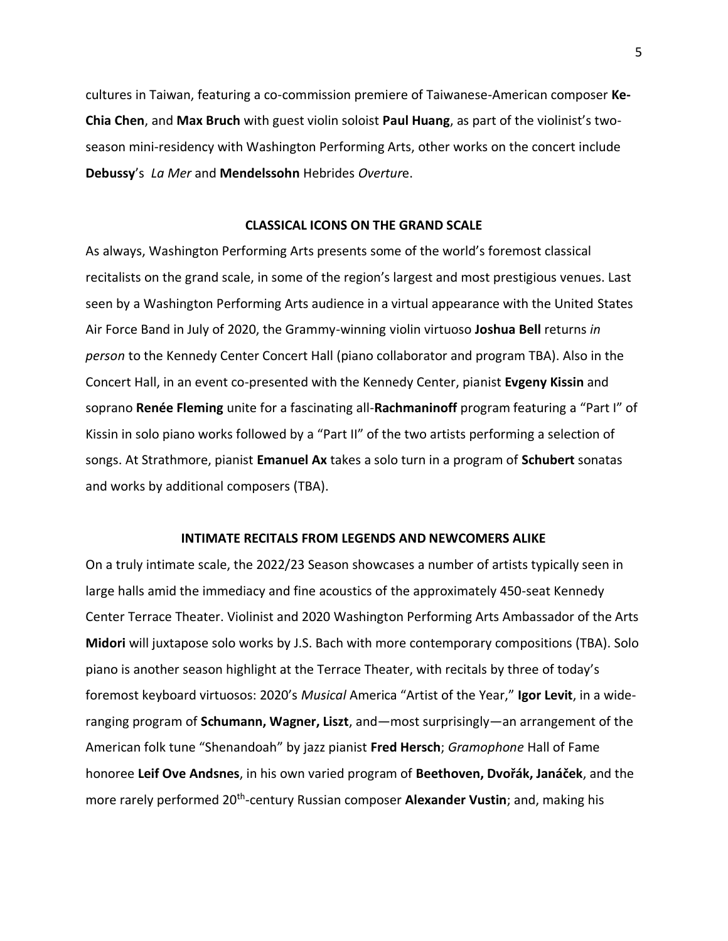cultures in Taiwan, featuring a co-commission premiere of Taiwanese-American composer **Ke-Chia Chen**, and **Max Bruch** with guest violin soloist **Paul Huang**, as part of the violinist's twoseason mini-residency with Washington Performing Arts, other works on the concert include **Debussy**'s *La Mer* and **Mendelssohn** Hebrides *Overtur*e.

### **CLASSICAL ICONS ON THE GRAND SCALE**

As always, Washington Performing Arts presents some of the world's foremost classical recitalists on the grand scale, in some of the region's largest and most prestigious venues. Last seen by a Washington Performing Arts audience in a virtual appearance with the United States Air Force Band in July of 2020, the Grammy-winning violin virtuoso **Joshua Bell** returns *in person* to the Kennedy Center Concert Hall (piano collaborator and program TBA). Also in the Concert Hall, in an event co-presented with the Kennedy Center, pianist **Evgeny Kissin** and soprano **Renée Fleming** unite for a fascinating all-**Rachmaninoff** program featuring a "Part I" of Kissin in solo piano works followed by a "Part II" of the two artists performing a selection of songs. At Strathmore, pianist **Emanuel Ax** takes a solo turn in a program of **Schubert** sonatas and works by additional composers (TBA).

### **INTIMATE RECITALS FROM LEGENDS AND NEWCOMERS ALIKE**

On a truly intimate scale, the 2022/23 Season showcases a number of artists typically seen in large halls amid the immediacy and fine acoustics of the approximately 450-seat Kennedy Center Terrace Theater. Violinist and 2020 Washington Performing Arts Ambassador of the Arts **Midori** will juxtapose solo works by J.S. Bach with more contemporary compositions (TBA). Solo piano is another season highlight at the Terrace Theater, with recitals by three of today's foremost keyboard virtuosos: 2020's *Musical* America "Artist of the Year," **Igor Levit**, in a wideranging program of **Schumann, Wagner, Liszt**, and—most surprisingly—an arrangement of the American folk tune "Shenandoah" by jazz pianist **Fred Hersch**; *Gramophone* Hall of Fame honoree **Leif Ove Andsnes**, in his own varied program of **Beethoven, Dvořák, Janáček**, and the more rarely performed 20<sup>th</sup>-century Russian composer Alexander Vustin; and, making his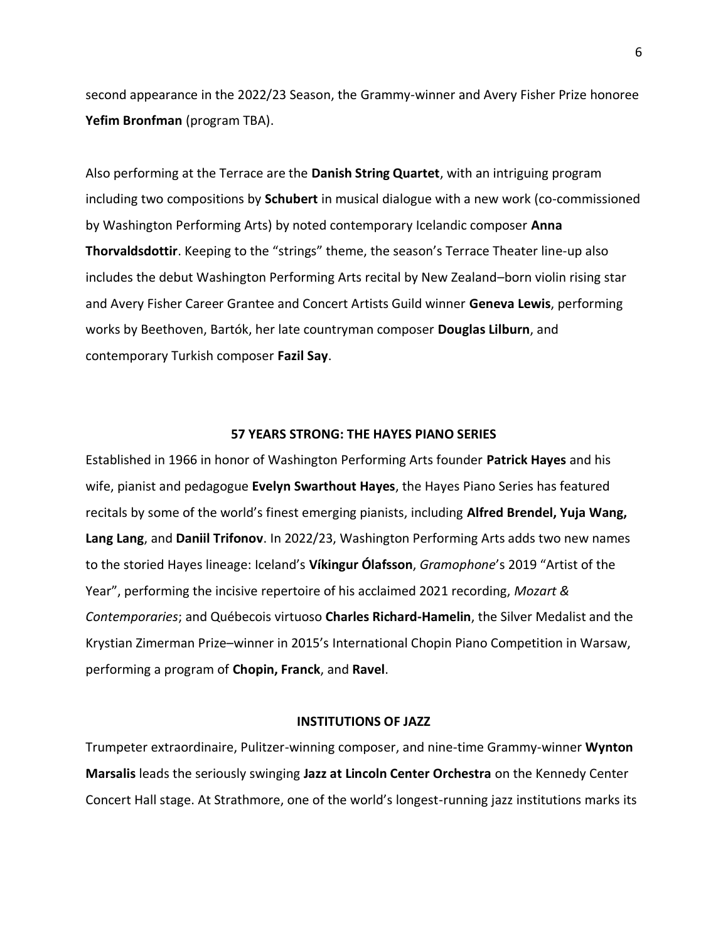second appearance in the 2022/23 Season, the Grammy-winner and Avery Fisher Prize honoree **Yefim Bronfman** (program TBA).

Also performing at the Terrace are the **Danish String Quartet**, with an intriguing program including two compositions by **Schubert** in musical dialogue with a new work (co-commissioned by Washington Performing Arts) by noted contemporary Icelandic composer **Anna Thorvaldsdottir**. Keeping to the "strings" theme, the season's Terrace Theater line-up also includes the debut Washington Performing Arts recital by New Zealand–born violin rising star and Avery Fisher Career Grantee and Concert Artists Guild winner **Geneva Lewis**, performing works by Beethoven, Bartók, her late countryman composer **Douglas Lilburn**, and contemporary Turkish composer **Fazil Say**.

### **57 YEARS STRONG: THE HAYES PIANO SERIES**

Established in 1966 in honor of Washington Performing Arts founder **Patrick Hayes** and his wife, pianist and pedagogue **Evelyn Swarthout Hayes**, the Hayes Piano Series has featured recitals by some of the world's finest emerging pianists, including **Alfred Brendel, Yuja Wang, Lang Lang**, and **Daniil Trifonov**. In 2022/23, Washington Performing Arts adds two new names to the storied Hayes lineage: Iceland's **Víkingur Ólafsson**, *Gramophone*'s 2019 "Artist of the Year", performing the incisive repertoire of his acclaimed 2021 recording, *Mozart & Contemporaries*; and Québecois virtuoso **Charles Richard-Hamelin**, the Silver Medalist and the Krystian Zimerman Prize–winner in 2015's International Chopin Piano Competition in Warsaw, performing a program of **Chopin, Franck**, and **Ravel**.

#### **INSTITUTIONS OF JAZZ**

Trumpeter extraordinaire, Pulitzer-winning composer, and nine-time Grammy-winner **Wynton Marsalis** leads the seriously swinging **Jazz at Lincoln Center Orchestra** on the Kennedy Center Concert Hall stage. At Strathmore, one of the world's longest-running jazz institutions marks its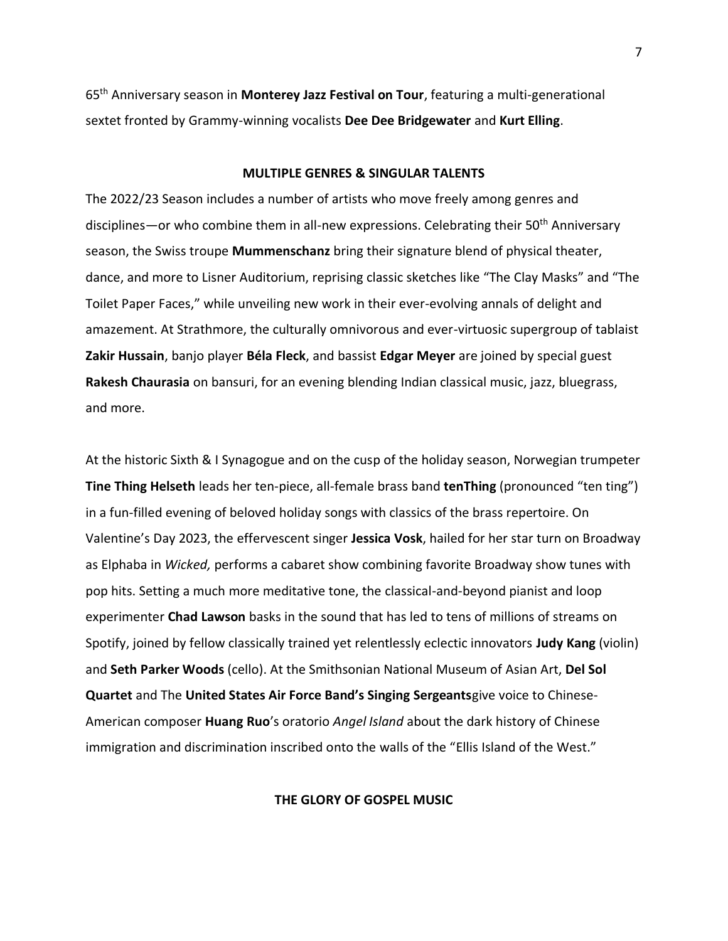65th Anniversary season in **Monterey Jazz Festival on Tour**, featuring a multi-generational sextet fronted by Grammy-winning vocalists **Dee Dee Bridgewater** and **Kurt Elling**.

#### **MULTIPLE GENRES & SINGULAR TALENTS**

The 2022/23 Season includes a number of artists who move freely among genres and disciplines—or who combine them in all-new expressions. Celebrating their 50<sup>th</sup> Anniversary season, the Swiss troupe **Mummenschanz** bring their signature blend of physical theater, dance, and more to Lisner Auditorium, reprising classic sketches like "The Clay Masks" and "The Toilet Paper Faces," while unveiling new work in their ever-evolving annals of delight and amazement. At Strathmore, the culturally omnivorous and ever-virtuosic supergroup of tablaist **Zakir Hussain**, banjo player **Béla Fleck**, and bassist **Edgar Meyer** are joined by special guest **Rakesh Chaurasia** on bansuri, for an evening blending Indian classical music, jazz, bluegrass, and more.

At the historic Sixth & I Synagogue and on the cusp of the holiday season, Norwegian trumpeter **Tine Thing Helseth** leads her ten-piece, all-female brass band **tenThing** (pronounced "ten ting") in a fun-filled evening of beloved holiday songs with classics of the brass repertoire. On Valentine's Day 2023, the effervescent singer **Jessica Vosk**, hailed for her star turn on Broadway as Elphaba in *Wicked,* performs a cabaret show combining favorite Broadway show tunes with pop hits. Setting a much more meditative tone, the classical-and-beyond pianist and loop experimenter **Chad Lawson** basks in the sound that has led to tens of millions of streams on Spotify, joined by fellow classically trained yet relentlessly eclectic innovators **Judy Kang** (violin) and **Seth Parker Woods** (cello). At the Smithsonian National Museum of Asian Art, **Del Sol Quartet** and The **United States Air Force Band's Singing Sergeants**give voice to Chinese-American composer **Huang Ruo**'s oratorio *Angel Island* about the dark history of Chinese immigration and discrimination inscribed onto the walls of the "Ellis Island of the West."

### **THE GLORY OF GOSPEL MUSIC**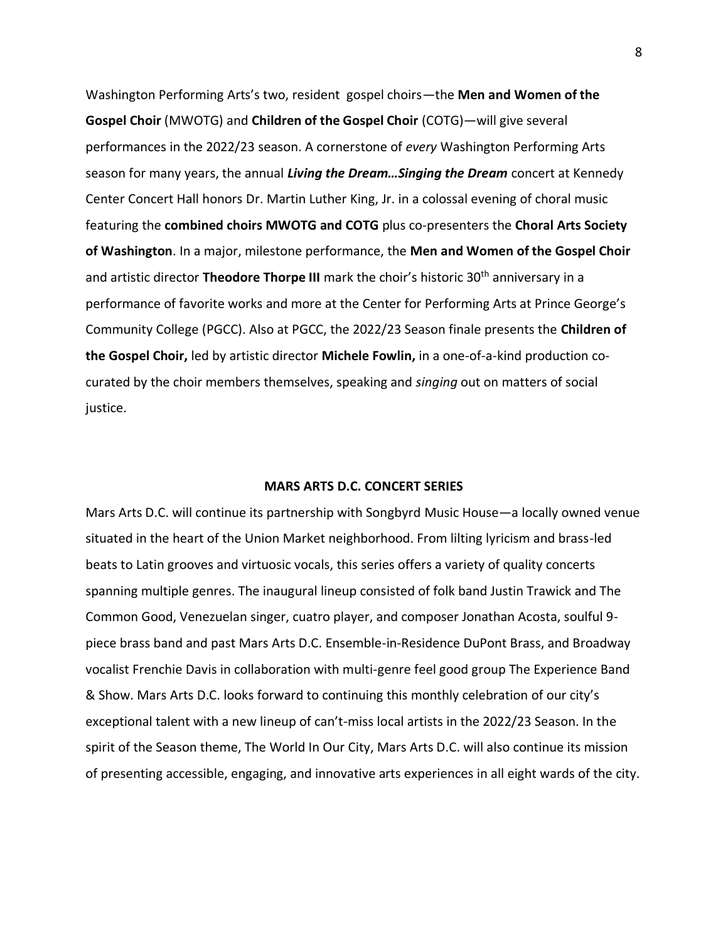Washington Performing Arts's two, resident gospel choirs—the **Men and Women of the Gospel Choir** (MWOTG) and **Children of the Gospel Choir** (COTG)—will give several performances in the 2022/23 season. A cornerstone of *every* Washington Performing Arts season for many years, the annual *Living the Dream…Singing the Dream* concert at Kennedy Center Concert Hall honors Dr. Martin Luther King, Jr. in a colossal evening of choral music featuring the **combined choirs MWOTG and COTG** plus co-presenters the **Choral Arts Society of Washington**. In a major, milestone performance, the **Men and Women of the Gospel Choir**  and artistic director **Theodore Thorpe III** mark the choir's historic 30<sup>th</sup> anniversary in a performance of favorite works and more at the Center for Performing Arts at Prince George's Community College (PGCC). Also at PGCC, the 2022/23 Season finale presents the **Children of the Gospel Choir,** led by artistic director **Michele Fowlin,** in a one-of-a-kind production cocurated by the choir members themselves, speaking and *singing* out on matters of social justice.

#### **MARS ARTS D.C. CONCERT SERIES**

Mars Arts D.C. will continue its partnership with Songbyrd Music House—a locally owned venue situated in the heart of the Union Market neighborhood. From lilting lyricism and brass-led beats to Latin grooves and virtuosic vocals, this series offers a variety of quality concerts spanning multiple genres. The inaugural lineup consisted of folk band Justin Trawick and The Common Good, Venezuelan singer, cuatro player, and composer Jonathan Acosta, soulful 9 piece brass band and past Mars Arts D.C. Ensemble-in-Residence DuPont Brass, and Broadway vocalist Frenchie Davis in collaboration with multi-genre feel good group The Experience Band & Show. Mars Arts D.C. looks forward to continuing this monthly celebration of our city's exceptional talent with a new lineup of can't-miss local artists in the 2022/23 Season. In the spirit of the Season theme, The World In Our City, Mars Arts D.C. will also continue its mission of presenting accessible, engaging, and innovative arts experiences in all eight wards of the city.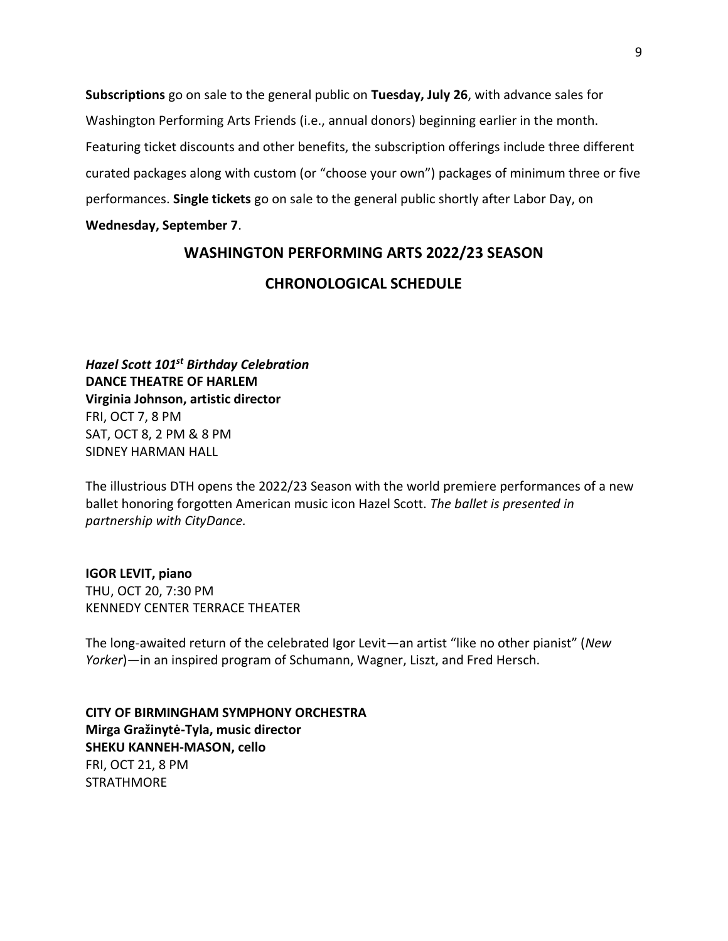**Subscriptions** go on sale to the general public on **Tuesday, July 26**, with advance sales for Washington Performing Arts Friends (i.e., annual donors) beginning earlier in the month. Featuring ticket discounts and other benefits, the subscription offerings include three different curated packages along with custom (or "choose your own") packages of minimum three or five performances. **Single tickets** go on sale to the general public shortly after Labor Day, on **Wednesday, September 7**.

# **WASHINGTON PERFORMING ARTS 2022/23 SEASON**

### **CHRONOLOGICAL SCHEDULE**

*Hazel Scott 101 st Birthday Celebration* **DANCE THEATRE OF HARLEM Virginia Johnson, artistic director** FRI, OCT 7, 8 PM SAT, OCT 8, 2 PM & 8 PM SIDNEY HARMAN HALL

The illustrious DTH opens the 2022/23 Season with the world premiere performances of a new ballet honoring forgotten American music icon Hazel Scott. *The ballet is presented in partnership with CityDance.*

#### **IGOR LEVIT, piano**

THU, OCT 20, 7:30 PM KENNEDY CENTER TERRACE THEATER

The long-awaited return of the celebrated Igor Levit—an artist "like no other pianist" (*New Yorker*)—in an inspired program of Schumann, Wagner, Liszt, and Fred Hersch.

**CITY OF BIRMINGHAM SYMPHONY ORCHESTRA Mirga Gražinytė-Tyla, music director SHEKU KANNEH-MASON, cello** FRI, OCT 21, 8 PM STRATHMORE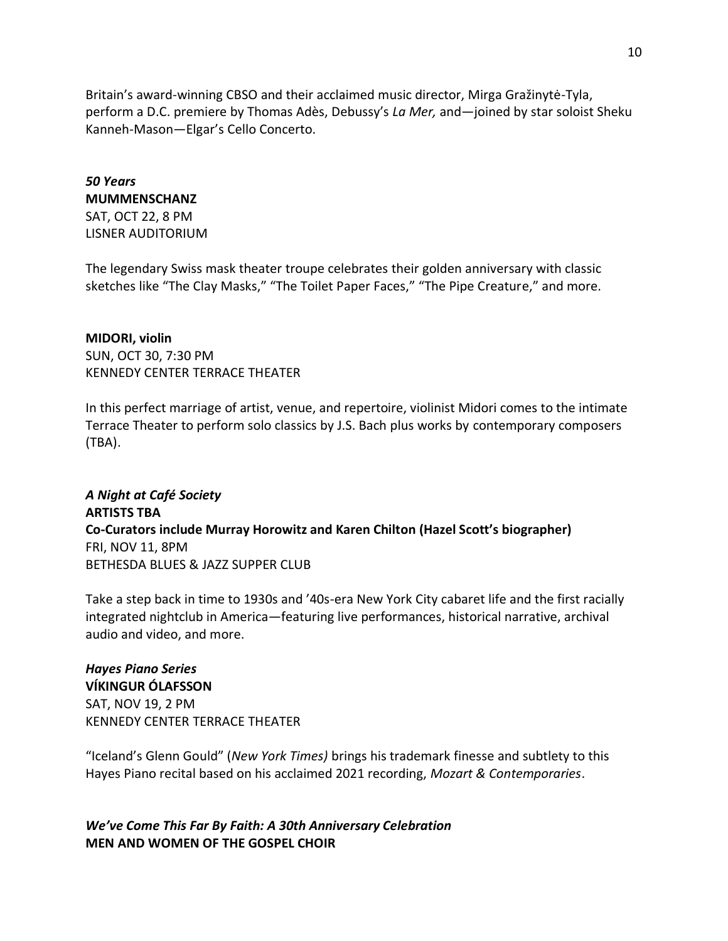Britain's award-winning CBSO and their acclaimed music director, Mirga Gražinytė-Tyla, perform a D.C. premiere by Thomas Adès, Debussy's *La Mer,* and—joined by star soloist Sheku Kanneh-Mason—Elgar's Cello Concerto.

### *50 Years* **MUMMENSCHANZ**

SAT, OCT 22, 8 PM LISNER AUDITORIUM

The legendary Swiss mask theater troupe celebrates their golden anniversary with classic sketches like "The Clay Masks," "The Toilet Paper Faces," "The Pipe Creature," and more.

### **MIDORI, violin**

SUN, OCT 30, 7:30 PM KENNEDY CENTER TERRACE THEATER

In this perfect marriage of artist, venue, and repertoire, violinist Midori comes to the intimate Terrace Theater to perform solo classics by J.S. Bach plus works by contemporary composers (TBA).

# *A Night at Café Society* **ARTISTS TBA Co-Curators include Murray Horowitz and Karen Chilton (Hazel Scott's biographer)** FRI, NOV 11, 8PM BETHESDA BLUES & JAZZ SUPPER CLUB

Take a step back in time to 1930s and '40s-era New York City cabaret life and the first racially integrated nightclub in America—featuring live performances, historical narrative, archival audio and video, and more.

# *Hayes Piano Series*

**VÍKINGUR ÓLAFSSON** SAT, NOV 19, 2 PM KENNEDY CENTER TERRACE THEATER

"Iceland's Glenn Gould" (*New York Times)* brings his trademark finesse and subtlety to this Hayes Piano recital based on his acclaimed 2021 recording, *Mozart & Contemporaries*.

*We've Come This Far By Faith: A 30th Anniversary Celebration*  **MEN AND WOMEN OF THE GOSPEL CHOIR**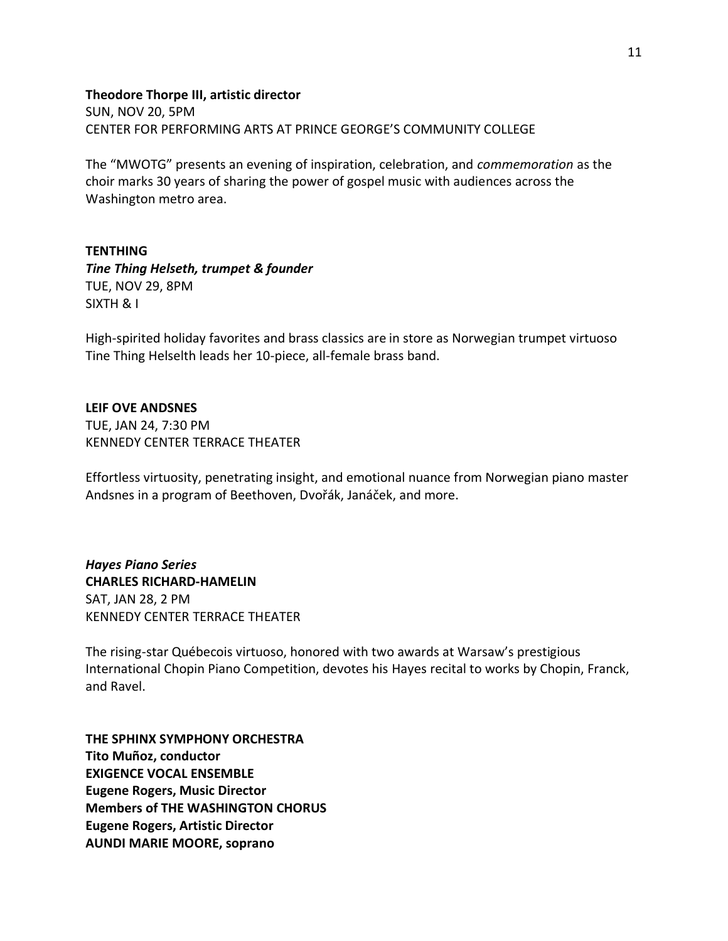### **Theodore Thorpe III, artistic director**

SUN, NOV 20, 5PM CENTER FOR PERFORMING ARTS AT PRINCE GEORGE'S COMMUNITY COLLEGE

The "MWOTG" presents an evening of inspiration, celebration, and *commemoration* as the choir marks 30 years of sharing the power of gospel music with audiences across the Washington metro area.

### **TENTHING**

*Tine Thing Helseth, trumpet & founder* TUE, NOV 29, 8PM SIXTH & I

High-spirited holiday favorites and brass classics are in store as Norwegian trumpet virtuoso Tine Thing Helselth leads her 10-piece, all-female brass band.

### **LEIF OVE ANDSNES**

TUE, JAN 24, 7:30 PM KENNEDY CENTER TERRACE THEATER

Effortless virtuosity, penetrating insight, and emotional nuance from Norwegian piano master Andsnes in a program of Beethoven, Dvořák, Janáček, and more.

*Hayes Piano Series* **CHARLES RICHARD-HAMELIN** SAT, JAN 28, 2 PM KENNEDY CENTER TERRACE THEATER

The rising-star Québecois virtuoso, honored with two awards at Warsaw's prestigious International Chopin Piano Competition, devotes his Hayes recital to works by Chopin, Franck, and Ravel.

**THE SPHINX SYMPHONY ORCHESTRA Tito Muñoz, conductor EXIGENCE VOCAL ENSEMBLE Eugene Rogers, Music Director Members of THE WASHINGTON CHORUS Eugene Rogers, Artistic Director AUNDI MARIE MOORE, soprano**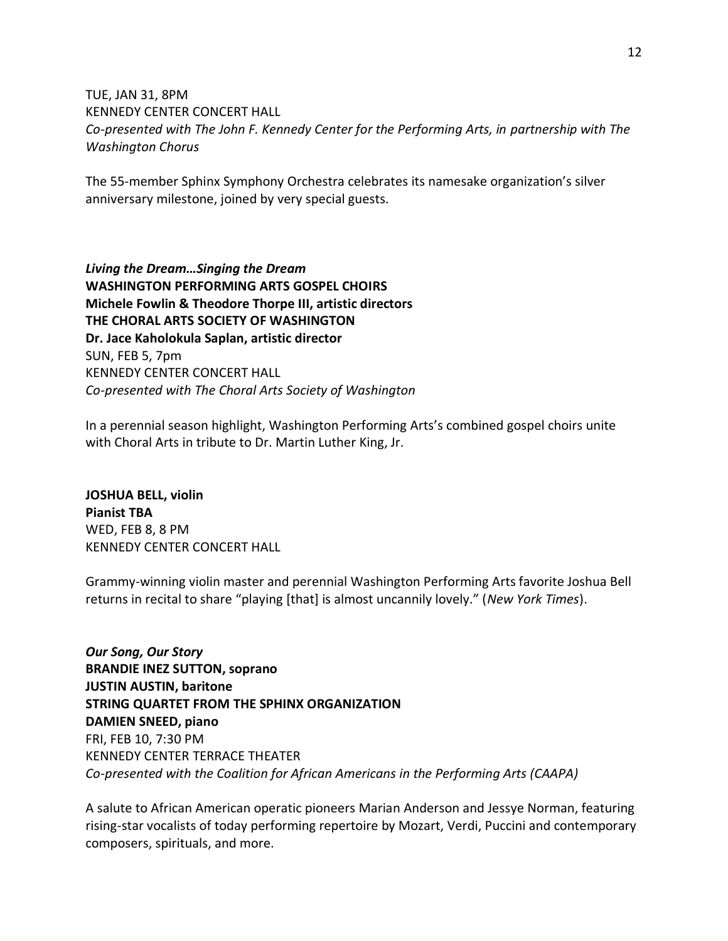# TUE, JAN 31, 8PM KENNEDY CENTER CONCERT HALL *Co-presented with The John F. Kennedy Center for the Performing Arts, in partnership with The Washington Chorus*

The 55-member Sphinx Symphony Orchestra celebrates its namesake organization's silver anniversary milestone, joined by very special guests.

*Living the Dream…Singing the Dream* **WASHINGTON PERFORMING ARTS GOSPEL CHOIRS Michele Fowlin & Theodore Thorpe III, artistic directors THE CHORAL ARTS SOCIETY OF WASHINGTON Dr. Jace Kaholokula Saplan, artistic director** SUN, FEB 5, 7pm KENNEDY CENTER CONCERT HALL *Co-presented with The Choral Arts Society of Washington*

In a perennial season highlight, Washington Performing Arts's combined gospel choirs unite with Choral Arts in tribute to Dr. Martin Luther King, Jr.

**JOSHUA BELL, violin Pianist TBA** WED, FEB 8, 8 PM KENNEDY CENTER CONCERT HALL

Grammy-winning violin master and perennial Washington Performing Arts favorite Joshua Bell returns in recital to share "playing [that] is almost uncannily lovely." (*New York Times*).

*Our Song, Our Story* **BRANDIE INEZ SUTTON, soprano JUSTIN AUSTIN, baritone STRING QUARTET FROM THE SPHINX ORGANIZATION DAMIEN SNEED, piano**  FRI, FEB 10, 7:30 PM KENNEDY CENTER TERRACE THEATER *Co-presented with the Coalition for African Americans in the Performing Arts (CAAPA)*

A salute to African American operatic pioneers Marian Anderson and Jessye Norman, featuring rising-star vocalists of today performing repertoire by Mozart, Verdi, Puccini and contemporary composers, spirituals, and more.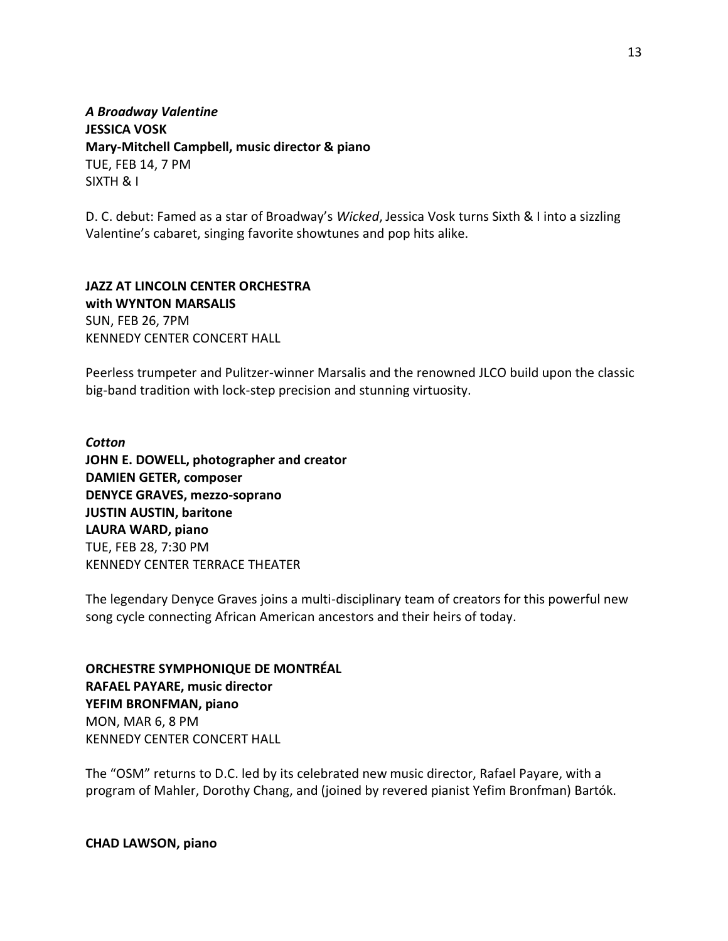*A Broadway Valentine* **JESSICA VOSK Mary-Mitchell Campbell, music director & piano** TUE, FEB 14, 7 PM SIXTH & I

D. C. debut: Famed as a star of Broadway's *Wicked*, Jessica Vosk turns Sixth & I into a sizzling Valentine's cabaret, singing favorite showtunes and pop hits alike.

### **JAZZ AT LINCOLN CENTER ORCHESTRA with WYNTON MARSALIS** SUN, FEB 26, 7PM

KENNEDY CENTER CONCERT HALL

Peerless trumpeter and Pulitzer-winner Marsalis and the renowned JLCO build upon the classic big-band tradition with lock-step precision and stunning virtuosity.

*Cotton* **JOHN E. DOWELL, photographer and creator DAMIEN GETER, composer DENYCE GRAVES, mezzo-soprano JUSTIN AUSTIN, baritone LAURA WARD, piano** TUE, FEB 28, 7:30 PM KENNEDY CENTER TERRACE THEATER

The legendary Denyce Graves joins a multi-disciplinary team of creators for this powerful new song cycle connecting African American ancestors and their heirs of today.

**ORCHESTRE SYMPHONIQUE DE MONTRÉAL RAFAEL PAYARE, music director YEFIM BRONFMAN, piano** MON, MAR 6, 8 PM KENNEDY CENTER CONCERT HALL

The "OSM" returns to D.C. led by its celebrated new music director, Rafael Payare, with a program of Mahler, Dorothy Chang, and (joined by revered pianist Yefim Bronfman) Bartók.

**CHAD LAWSON, piano**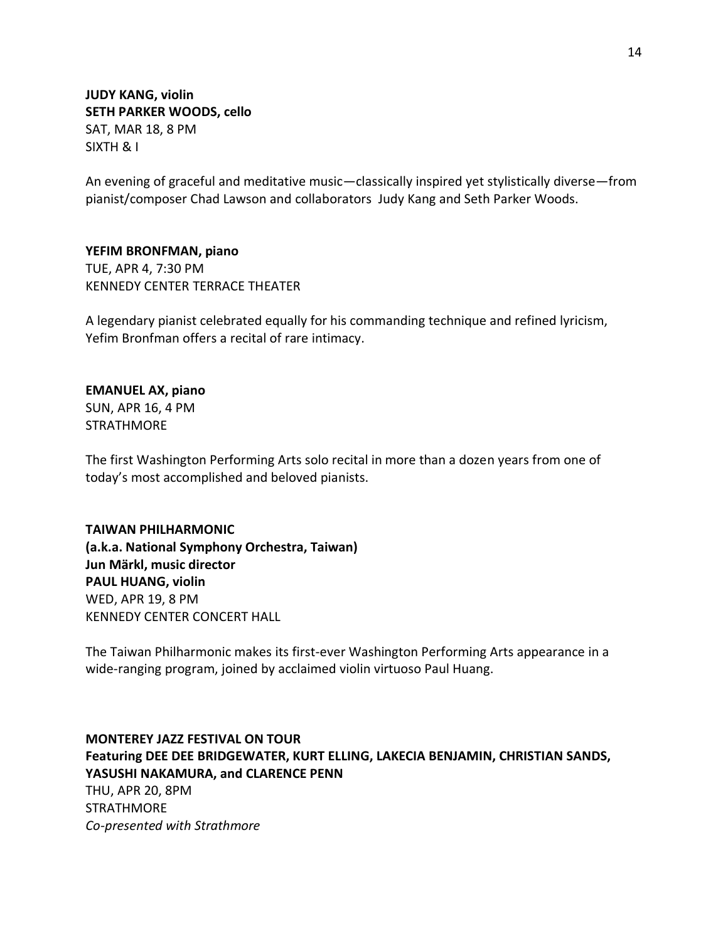**JUDY KANG, violin SETH PARKER WOODS, cello** SAT, MAR 18, 8 PM SIXTH & I

An evening of graceful and meditative music—classically inspired yet stylistically diverse—from pianist/composer Chad Lawson and collaborators Judy Kang and Seth Parker Woods.

**YEFIM BRONFMAN, piano** TUE, APR 4, 7:30 PM KENNEDY CENTER TERRACE THEATER

A legendary pianist celebrated equally for his commanding technique and refined lyricism, Yefim Bronfman offers a recital of rare intimacy.

### **EMANUEL AX, piano**

SUN, APR 16, 4 PM **STRATHMORE** 

The first Washington Performing Arts solo recital in more than a dozen years from one of today's most accomplished and beloved pianists.

### **TAIWAN PHILHARMONIC**

**(a.k.a. National Symphony Orchestra, Taiwan) Jun Märkl, music director PAUL HUANG, violin** WED, APR 19, 8 PM KENNEDY CENTER CONCERT HALL

The Taiwan Philharmonic makes its first-ever Washington Performing Arts appearance in a wide-ranging program, joined by acclaimed violin virtuoso Paul Huang.

### **MONTEREY JAZZ FESTIVAL ON TOUR**

**Featuring DEE DEE BRIDGEWATER, KURT ELLING, LAKECIA BENJAMIN, CHRISTIAN SANDS, YASUSHI NAKAMURA, and CLARENCE PENN** THU, APR 20, 8PM

STRATHMORE *Co-presented with Strathmore*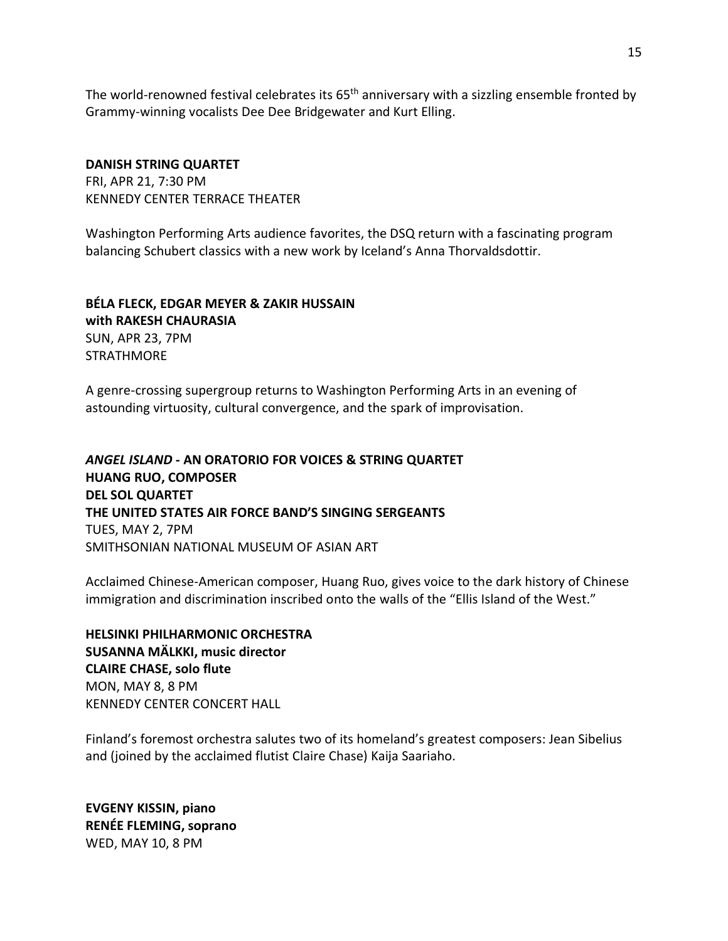The world-renowned festival celebrates its  $65<sup>th</sup>$  anniversary with a sizzling ensemble fronted by Grammy-winning vocalists Dee Dee Bridgewater and Kurt Elling.

### **DANISH STRING QUARTET**

FRI, APR 21, 7:30 PM KENNEDY CENTER TERRACE THEATER

Washington Performing Arts audience favorites, the DSQ return with a fascinating program balancing Schubert classics with a new work by Iceland's Anna Thorvaldsdottir.

## **BÉLA FLECK, EDGAR MEYER & ZAKIR HUSSAIN with RAKESH CHAURASIA** SUN, APR 23, 7PM **STRATHMORF**

A genre-crossing supergroup returns to Washington Performing Arts in an evening of astounding virtuosity, cultural convergence, and the spark of improvisation.

*ANGEL ISLAND* **- AN ORATORIO FOR VOICES & STRING QUARTET HUANG RUO, COMPOSER DEL SOL QUARTET THE UNITED STATES AIR FORCE BAND'S SINGING SERGEANTS** TUES, MAY 2, 7PM SMITHSONIAN NATIONAL MUSEUM OF ASIAN ART

Acclaimed Chinese-American composer, Huang Ruo, gives voice to the dark history of Chinese immigration and discrimination inscribed onto the walls of the "Ellis Island of the West."

**HELSINKI PHILHARMONIC ORCHESTRA SUSANNA MÄLKKI, music director CLAIRE CHASE, solo flute** MON, MAY 8, 8 PM KENNEDY CENTER CONCERT HALL

Finland's foremost orchestra salutes two of its homeland's greatest composers: Jean Sibelius and (joined by the acclaimed flutist Claire Chase) Kaija Saariaho.

**EVGENY KISSIN, piano RENÉE FLEMING, soprano** WED, MAY 10, 8 PM